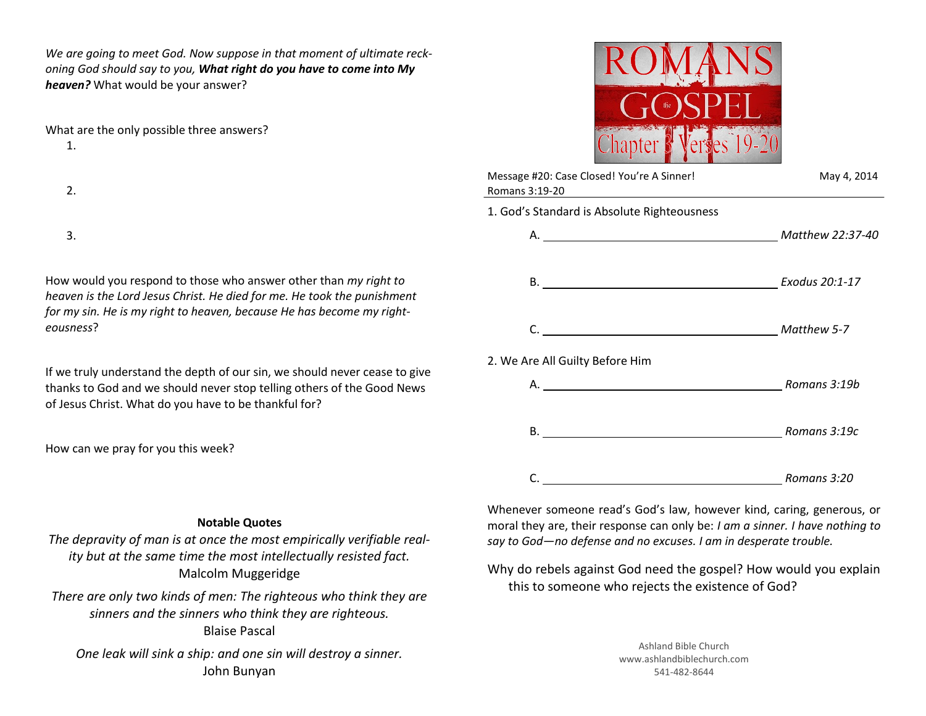*We are going to meet God. Now suppose in that moment of ultimate reckoning God should say to you, What right do you have to come into My heaven?* What would be your answer?

What are the only possible three answers?

1.

2.

3.

How would you respond to those who answer other than *my right to heaven is the Lord Jesus Christ. He died for me. He took the punishment for my sin. He is my right to heaven, because He has become my righteousness*?

If we truly understand the depth of our sin, we should never cease to give thanks to God and we should never stop telling others of the Good News of Jesus Christ. What do you have to be thankful for?

How can we pray for you this week?

|       | 2 |
|-------|---|
| apter |   |

| Message #20: Case Closed! You're A Sinner!<br>Romans 3:19-20                                                        | May 4, 2014      |  |
|---------------------------------------------------------------------------------------------------------------------|------------------|--|
| 1. God's Standard is Absolute Righteousness                                                                         |                  |  |
|                                                                                                                     | Matthew 22:37-40 |  |
|                                                                                                                     |                  |  |
|                                                                                                                     |                  |  |
| 2. We Are All Guilty Before Him                                                                                     |                  |  |
|                                                                                                                     |                  |  |
|                                                                                                                     | Romans 3:19c     |  |
| <u> 1980 - Johann Barn, mars eta bainar eta baina eta baina eta baina eta baina eta baina eta baina eta baina e</u> | Romans 3:20      |  |

## **Notable Quotes**

*The depravity of man is at once the most empirically verifiable reality but at the same time the most intellectually resisted fact.* Malcolm Muggeridge

*There are only two kinds of men: The righteous who think they are sinners and the sinners who think they are righteous.*  Blaise Pascal

*One leak will sink a ship: and one sin will destroy a sinner.*  John Bunyan

Whenever someone read's God's law, however kind, caring, generous, or moral they are, their response can only be: *I am a sinner. I have nothing to say to God—no defense and no excuses. I am in desperate trouble.*

Why do rebels against God need the gospel? How would you explain this to someone who rejects the existence of God?